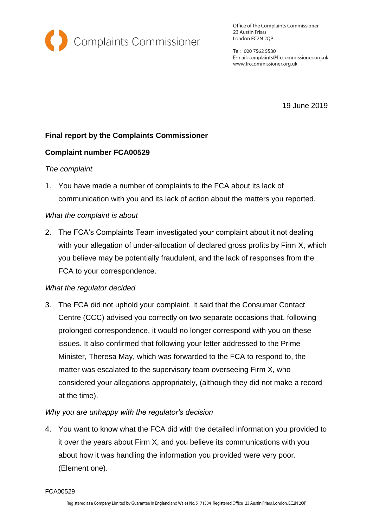

Office of the Complaints Commissioner 23 Austin Friars London EC2N 2QP

Tel: 020 7562 5530 E-mail: complaints@frccommissioner.org.uk www.frccommissioner.org.uk

19 June 2019

# **Final report by the Complaints Commissioner**

## **Complaint number FCA00529**

### *The complaint*

1. You have made a number of complaints to the FCA about its lack of communication with you and its lack of action about the matters you reported.

## *What the complaint is about*

2. The FCA's Complaints Team investigated your complaint about it not dealing with your allegation of under-allocation of declared gross profits by Firm X, which you believe may be potentially fraudulent, and the lack of responses from the FCA to your correspondence.

### *What the regulator decided*

3. The FCA did not uphold your complaint. It said that the Consumer Contact Centre (CCC) advised you correctly on two separate occasions that, following prolonged correspondence, it would no longer correspond with you on these issues. It also confirmed that following your letter addressed to the Prime Minister, Theresa May, which was forwarded to the FCA to respond to, the matter was escalated to the supervisory team overseeing Firm X, who considered your allegations appropriately, (although they did not make a record at the time).

### *Why you are unhappy with the regulator's decision*

4. You want to know what the FCA did with the detailed information you provided to it over the years about Firm X, and you believe its communications with you about how it was handling the information you provided were very poor. (Element one).

FCA00529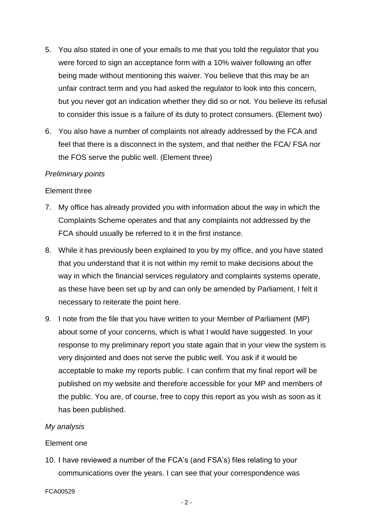- 5. You also stated in one of your emails to me that you told the regulator that you were forced to sign an acceptance form with a 10% waiver following an offer being made without mentioning this waiver. You believe that this may be an unfair contract term and you had asked the regulator to look into this concern, but you never got an indication whether they did so or not. You believe its refusal to consider this issue is a failure of its duty to protect consumers. (Element two)
- 6. You also have a number of complaints not already addressed by the FCA and feel that there is a disconnect in the system, and that neither the FCA/ FSA nor the FOS serve the public well. (Element three)

### *Preliminary points*

#### Element three

- 7. My office has already provided you with information about the way in which the Complaints Scheme operates and that any complaints not addressed by the FCA should usually be referred to it in the first instance.
- 8. While it has previously been explained to you by my office, and you have stated that you understand that it is not within my remit to make decisions about the way in which the financial services regulatory and complaints systems operate, as these have been set up by and can only be amended by Parliament, I felt it necessary to reiterate the point here.
- 9. I note from the file that you have written to your Member of Parliament (MP) about some of your concerns, which is what I would have suggested. In your response to my preliminary report you state again that in your view the system is very disjointed and does not serve the public well. You ask if it would be acceptable to make my reports public. I can confirm that my final report will be published on my website and therefore accessible for your MP and members of the public. You are, of course, free to copy this report as you wish as soon as it has been published.

#### *My analysis*

#### Element one

10. I have reviewed a number of the FCA's (and FSA's) files relating to your communications over the years. I can see that your correspondence was

FCA00529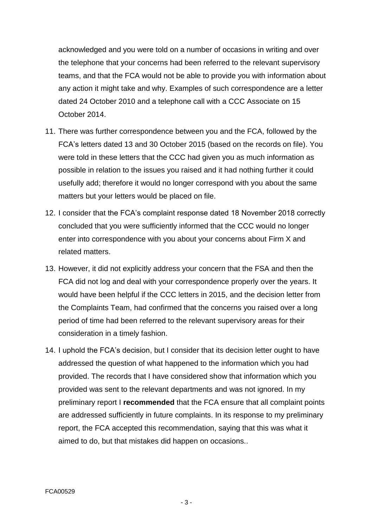acknowledged and you were told on a number of occasions in writing and over the telephone that your concerns had been referred to the relevant supervisory teams, and that the FCA would not be able to provide you with information about any action it might take and why. Examples of such correspondence are a letter dated 24 October 2010 and a telephone call with a CCC Associate on 15 October 2014.

- 11. There was further correspondence between you and the FCA, followed by the FCA's letters dated 13 and 30 October 2015 (based on the records on file). You were told in these letters that the CCC had given you as much information as possible in relation to the issues you raised and it had nothing further it could usefully add; therefore it would no longer correspond with you about the same matters but your letters would be placed on file.
- 12. I consider that the FCA's complaint response dated 18 November 2018 correctly concluded that you were sufficiently informed that the CCC would no longer enter into correspondence with you about your concerns about Firm X and related matters.
- 13. However, it did not explicitly address your concern that the FSA and then the FCA did not log and deal with your correspondence properly over the years. It would have been helpful if the CCC letters in 2015, and the decision letter from the Complaints Team, had confirmed that the concerns you raised over a long period of time had been referred to the relevant supervisory areas for their consideration in a timely fashion.
- 14. I uphold the FCA's decision, but I consider that its decision letter ought to have addressed the question of what happened to the information which you had provided. The records that I have considered show that information which you provided was sent to the relevant departments and was not ignored. In my preliminary report I **recommended** that the FCA ensure that all complaint points are addressed sufficiently in future complaints. In its response to my preliminary report, the FCA accepted this recommendation, saying that this was what it aimed to do, but that mistakes did happen on occasions..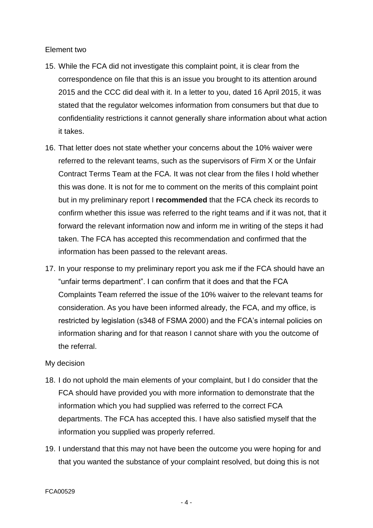### Element two

- 15. While the FCA did not investigate this complaint point, it is clear from the correspondence on file that this is an issue you brought to its attention around 2015 and the CCC did deal with it. In a letter to you, dated 16 April 2015, it was stated that the regulator welcomes information from consumers but that due to confidentiality restrictions it cannot generally share information about what action it takes.
- 16. That letter does not state whether your concerns about the 10% waiver were referred to the relevant teams, such as the supervisors of Firm X or the Unfair Contract Terms Team at the FCA. It was not clear from the files I hold whether this was done. It is not for me to comment on the merits of this complaint point but in my preliminary report I **recommended** that the FCA check its records to confirm whether this issue was referred to the right teams and if it was not, that it forward the relevant information now and inform me in writing of the steps it had taken. The FCA has accepted this recommendation and confirmed that the information has been passed to the relevant areas.
- 17. In your response to my preliminary report you ask me if the FCA should have an "unfair terms department". I can confirm that it does and that the FCA Complaints Team referred the issue of the 10% waiver to the relevant teams for consideration. As you have been informed already, the FCA, and my office, is restricted by legislation (s348 of FSMA 2000) and the FCA's internal policies on information sharing and for that reason I cannot share with you the outcome of the referral.

#### My decision

- 18. I do not uphold the main elements of your complaint, but I do consider that the FCA should have provided you with more information to demonstrate that the information which you had supplied was referred to the correct FCA departments. The FCA has accepted this. I have also satisfied myself that the information you supplied was properly referred.
- 19. I understand that this may not have been the outcome you were hoping for and that you wanted the substance of your complaint resolved, but doing this is not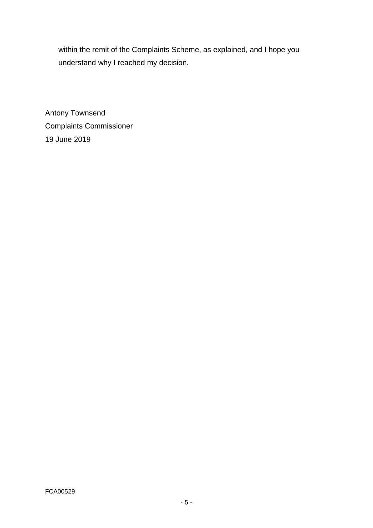within the remit of the Complaints Scheme, as explained, and I hope you understand why I reached my decision.

Antony Townsend Complaints Commissioner 19 June 2019